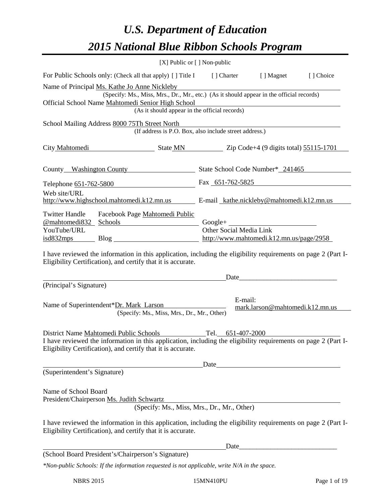# *U.S. Department of Education 2015 National Blue Ribbon Schools Program*

|                                                                                                                                                                                                                                                                                                                                                                                     | [X] Public or $[$ ] Non-public |                                             |  |  |  |  |
|-------------------------------------------------------------------------------------------------------------------------------------------------------------------------------------------------------------------------------------------------------------------------------------------------------------------------------------------------------------------------------------|--------------------------------|---------------------------------------------|--|--|--|--|
| For Public Schools only: (Check all that apply) [ ] Title I [ ] Charter [ ] Magnet<br>[ ] Choice                                                                                                                                                                                                                                                                                    |                                |                                             |  |  |  |  |
| Name of Principal Ms. Kathe Jo Anne Nickleby<br>(Specify: Ms., Miss, Mrs., Dr., Mr., etc.) (As it should appear in the official records)<br>Official School Name Mahtomedi Senior High School<br><u> 1980 - Andrea Station Barbara, amerikan per</u><br>(As it should appear in the official records)                                                                               |                                |                                             |  |  |  |  |
| School Mailing Address 8000 75Th Street North<br>(If address is P.O. Box, also include street address.)                                                                                                                                                                                                                                                                             |                                |                                             |  |  |  |  |
| City Mahtomedi State MN Zip Code+4 (9 digits total) 55115-1701                                                                                                                                                                                                                                                                                                                      |                                |                                             |  |  |  |  |
| County Washington County State School Code Number* 241465                                                                                                                                                                                                                                                                                                                           |                                |                                             |  |  |  |  |
| Telephone 651-762-5800 Fax 651-762-5825                                                                                                                                                                                                                                                                                                                                             |                                |                                             |  |  |  |  |
| Web site/URL<br>http://www.highschool.mahtomedi.k12.mn.us E-mail_kathe.nickleby@mahtomedi.k12.mn.us                                                                                                                                                                                                                                                                                 |                                |                                             |  |  |  |  |
| Facebook Page Mahtomedi Public<br><b>Twitter Handle</b><br><u>@mahtomedi832 Schools</u><br>Other Social Media Link<br>YouTube/URL<br>isd832mps Blog Blog http://www.mahtomedi.k12.mn.us/page/2958<br>I have reviewed the information in this application, including the eligibility requirements on page 2 (Part I-<br>Eligibility Certification), and certify that it is accurate. |                                |                                             |  |  |  |  |
|                                                                                                                                                                                                                                                                                                                                                                                     |                                | Date                                        |  |  |  |  |
| (Principal's Signature)<br>E-mail:<br>Name of Superintendent*Dr. Mark Larson<br>mark.larson@mahtomedi.k12.mn.us<br>(Specify: Ms., Miss, Mrs., Dr., Mr., Other)                                                                                                                                                                                                                      |                                |                                             |  |  |  |  |
| District Name Mahtomedi Public Schools<br>I have reviewed the information in this application, including the eligibility requirements on page 2 (Part I-<br>Eligibility Certification), and certify that it is accurate.                                                                                                                                                            |                                |                                             |  |  |  |  |
| (Superintendent's Signature)                                                                                                                                                                                                                                                                                                                                                        |                                |                                             |  |  |  |  |
| Name of School Board<br>President/Chairperson Ms. Judith Schwartz<br>I have reviewed the information in this application, including the eligibility requirements on page 2 (Part I-<br>Eligibility Certification), and certify that it is accurate.                                                                                                                                 |                                | (Specify: Ms., Miss, Mrs., Dr., Mr., Other) |  |  |  |  |
|                                                                                                                                                                                                                                                                                                                                                                                     |                                |                                             |  |  |  |  |
| (School Board President's/Chairperson's Signature)                                                                                                                                                                                                                                                                                                                                  |                                |                                             |  |  |  |  |
| *Non-public Schools: If the information requested is not applicable, write N/A in the space.                                                                                                                                                                                                                                                                                        |                                |                                             |  |  |  |  |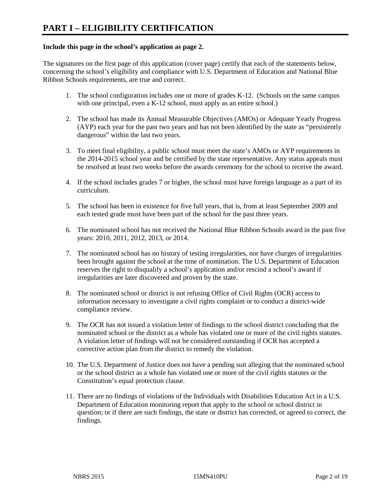#### **Include this page in the school's application as page 2.**

The signatures on the first page of this application (cover page) certify that each of the statements below, concerning the school's eligibility and compliance with U.S. Department of Education and National Blue Ribbon Schools requirements, are true and correct.

- 1. The school configuration includes one or more of grades K-12. (Schools on the same campus with one principal, even a K-12 school, must apply as an entire school.)
- 2. The school has made its Annual Measurable Objectives (AMOs) or Adequate Yearly Progress (AYP) each year for the past two years and has not been identified by the state as "persistently dangerous" within the last two years.
- 3. To meet final eligibility, a public school must meet the state's AMOs or AYP requirements in the 2014-2015 school year and be certified by the state representative. Any status appeals must be resolved at least two weeks before the awards ceremony for the school to receive the award.
- 4. If the school includes grades 7 or higher, the school must have foreign language as a part of its curriculum.
- 5. The school has been in existence for five full years, that is, from at least September 2009 and each tested grade must have been part of the school for the past three years.
- 6. The nominated school has not received the National Blue Ribbon Schools award in the past five years: 2010, 2011, 2012, 2013, or 2014.
- 7. The nominated school has no history of testing irregularities, nor have charges of irregularities been brought against the school at the time of nomination. The U.S. Department of Education reserves the right to disqualify a school's application and/or rescind a school's award if irregularities are later discovered and proven by the state.
- 8. The nominated school or district is not refusing Office of Civil Rights (OCR) access to information necessary to investigate a civil rights complaint or to conduct a district-wide compliance review.
- 9. The OCR has not issued a violation letter of findings to the school district concluding that the nominated school or the district as a whole has violated one or more of the civil rights statutes. A violation letter of findings will not be considered outstanding if OCR has accepted a corrective action plan from the district to remedy the violation.
- 10. The U.S. Department of Justice does not have a pending suit alleging that the nominated school or the school district as a whole has violated one or more of the civil rights statutes or the Constitution's equal protection clause.
- 11. There are no findings of violations of the Individuals with Disabilities Education Act in a U.S. Department of Education monitoring report that apply to the school or school district in question; or if there are such findings, the state or district has corrected, or agreed to correct, the findings.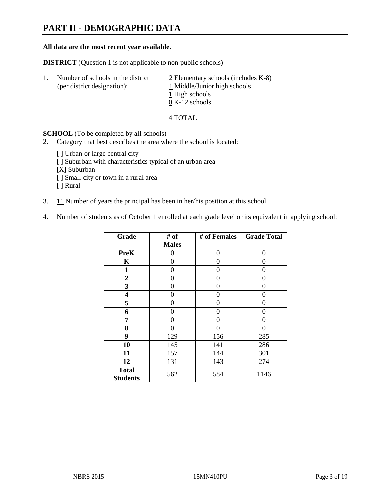# **PART II - DEMOGRAPHIC DATA**

#### **All data are the most recent year available.**

**DISTRICT** (Question 1 is not applicable to non-public schools)

| Τ. | Number of schools in the district<br>(per district designation): | $\geq$ Elementary schools (includes K-8)<br>1 Middle/Junior high schools<br>1 High schools |
|----|------------------------------------------------------------------|--------------------------------------------------------------------------------------------|
|    |                                                                  | $0 K-12$ schools                                                                           |

4 TOTAL

**SCHOOL** (To be completed by all schools)

- 2. Category that best describes the area where the school is located:
	- [ ] Urban or large central city
	- [ ] Suburban with characteristics typical of an urban area
	- [X] Suburban
	- [ ] Small city or town in a rural area
	- [ ] Rural
- 3. 11 Number of years the principal has been in her/his position at this school.
- 4. Number of students as of October 1 enrolled at each grade level or its equivalent in applying school:

| Grade                           | # of         | # of Females | <b>Grade Total</b> |
|---------------------------------|--------------|--------------|--------------------|
|                                 | <b>Males</b> |              |                    |
| <b>PreK</b>                     | 0            | 0            | 0                  |
| K                               | 0            | 0            | $\theta$           |
| $\mathbf{1}$                    | 0            | $\Omega$     | 0                  |
| $\mathbf{2}$                    | 0            | 0            | 0                  |
| 3                               | 0            | 0            | 0                  |
| 4                               | 0            | 0            | $\theta$           |
| 5                               | 0            | 0            | 0                  |
| 6                               | 0            | 0            | $\theta$           |
| 7                               | 0            | 0            | 0                  |
| 8                               | 0            | 0            | 0                  |
| 9                               | 129          | 156          | 285                |
| 10                              | 145          | 141          | 286                |
| 11                              | 157          | 144          | 301                |
| 12                              | 131          | 143          | 274                |
| <b>Total</b><br><b>Students</b> | 562          | 584          | 1146               |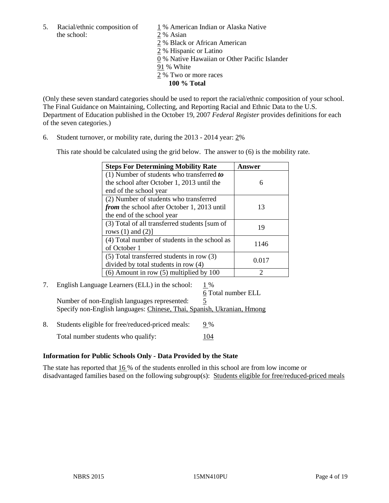the school: 2 % Asian

5. Racial/ethnic composition of 1 % American Indian or Alaska Native

2 % Black or African American

2 % Hispanic or Latino

0 % Native Hawaiian or Other Pacific Islander

- 91 % White
- 2 % Two or more races

**100 % Total**

(Only these seven standard categories should be used to report the racial/ethnic composition of your school. The Final Guidance on Maintaining, Collecting, and Reporting Racial and Ethnic Data to the U.S. Department of Education published in the October 19, 2007 *Federal Register* provides definitions for each of the seven categories.)

6. Student turnover, or mobility rate, during the 2013 - 2014 year: 2%

This rate should be calculated using the grid below. The answer to (6) is the mobility rate.

| <b>Steps For Determining Mobility Rate</b>         | Answer |
|----------------------------------------------------|--------|
| (1) Number of students who transferred to          |        |
| the school after October 1, 2013 until the         | 6      |
| end of the school year                             |        |
| (2) Number of students who transferred             |        |
| <i>from</i> the school after October 1, 2013 until | 13     |
| the end of the school year                         |        |
| (3) Total of all transferred students [sum of      | 19     |
| rows $(1)$ and $(2)$ ]                             |        |
| (4) Total number of students in the school as      | 1146   |
| of October 1                                       |        |
| (5) Total transferred students in row (3)          |        |
| divided by total students in row (4)               | 0.017  |
| $(6)$ Amount in row $(5)$ multiplied by 100        | 2      |

7. English Language Learners (ELL) in the school: 1 %

6 Total number ELL Number of non-English languages represented: 5 Specify non-English languages: Chinese, Thai, Spanish, Ukranian, Hmong

8. Students eligible for free/reduced-priced meals:  $9\%$ Total number students who qualify: 104

### **Information for Public Schools Only - Data Provided by the State**

The state has reported that 16 % of the students enrolled in this school are from low income or disadvantaged families based on the following subgroup(s): Students eligible for free/reduced-priced meals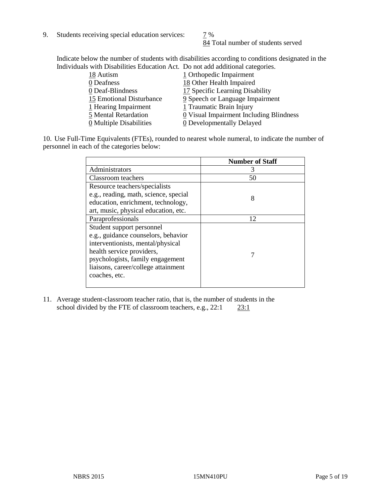9. Students receiving special education services:  $\frac{7}{9}$  %

84 Total number of students served

Indicate below the number of students with disabilities according to conditions designated in the Individuals with Disabilities Education Act. Do not add additional categories.

| 18 Autism                | 1 Orthopedic Impairment                               |
|--------------------------|-------------------------------------------------------|
| 0 Deafness               | 18 Other Health Impaired                              |
| 0 Deaf-Blindness         | 17 Specific Learning Disability                       |
| 15 Emotional Disturbance | 9 Speech or Language Impairment                       |
| 1 Hearing Impairment     | 1 Traumatic Brain Injury                              |
| 5 Mental Retardation     | $\underline{0}$ Visual Impairment Including Blindness |
| 0 Multiple Disabilities  | 0 Developmentally Delayed                             |

10. Use Full-Time Equivalents (FTEs), rounded to nearest whole numeral, to indicate the number of personnel in each of the categories below:

|                                       | <b>Number of Staff</b> |
|---------------------------------------|------------------------|
| Administrators                        | З                      |
| Classroom teachers                    | 50                     |
| Resource teachers/specialists         |                        |
| e.g., reading, math, science, special | 8                      |
| education, enrichment, technology,    |                        |
| art, music, physical education, etc.  |                        |
| Paraprofessionals                     | 12                     |
| Student support personnel             |                        |
| e.g., guidance counselors, behavior   |                        |
| interventionists, mental/physical     |                        |
| health service providers,             |                        |
| psychologists, family engagement      |                        |
| liaisons, career/college attainment   |                        |
| coaches, etc.                         |                        |
|                                       |                        |

11. Average student-classroom teacher ratio, that is, the number of students in the school divided by the FTE of classroom teachers, e.g.,  $22:1$   $23:1$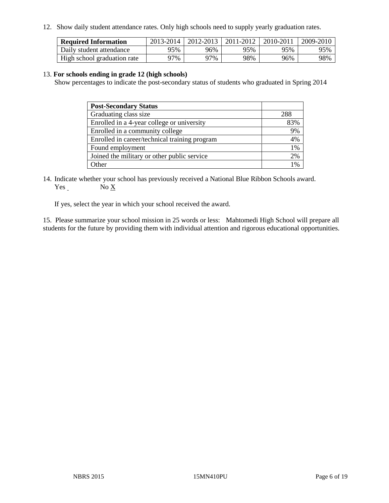12. Show daily student attendance rates. Only high schools need to supply yearly graduation rates.

| <b>Required Information</b> | 2013-2014 | 2012-2013 | 2011-2012 | 2010-2011 | 2009-2010 |
|-----------------------------|-----------|-----------|-----------|-----------|-----------|
| Daily student attendance    | 95%       | 96%       | 95%       | 95%       | 95%       |
| High school graduation rate | 77%       | 97%       | 98%       | 96%       | 98%       |

#### 13. **For schools ending in grade 12 (high schools)**

Show percentages to indicate the post-secondary status of students who graduated in Spring 2014

| <b>Post-Secondary Status</b>                  |       |
|-----------------------------------------------|-------|
| Graduating class size                         | 288   |
| Enrolled in a 4-year college or university    | 83%   |
| Enrolled in a community college               | 9%    |
| Enrolled in career/technical training program | 4%    |
| Found employment                              | $1\%$ |
| Joined the military or other public service   | 2%    |
| Other                                         | 1%    |

14. Indicate whether your school has previously received a National Blue Ribbon Schools award. Yes No X

If yes, select the year in which your school received the award.

15. Please summarize your school mission in 25 words or less: Mahtomedi High School will prepare all students for the future by providing them with individual attention and rigorous educational opportunities.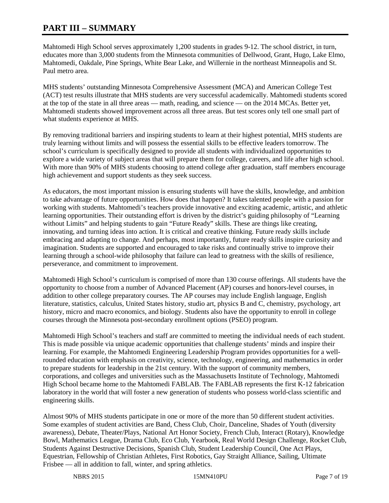## **PART III – SUMMARY**

Mahtomedi High School serves approximately 1,200 students in grades 9-12. The school district, in turn, educates more than 3,000 students from the Minnesota communities of Dellwood, Grant, Hugo, Lake Elmo, Mahtomedi, Oakdale, Pine Springs, White Bear Lake, and Willernie in the northeast Minneapolis and St. Paul metro area.

MHS students' outstanding Minnesota Comprehensive Assessment (MCA) and American College Test (ACT) test results illustrate that MHS students are very successful academically. Mahtomedi students scored at the top of the state in all three areas — math, reading, and science — on the 2014 MCAs. Better yet, Mahtomedi students showed improvement across all three areas. But test scores only tell one small part of what students experience at MHS.

By removing traditional barriers and inspiring students to learn at their highest potential, MHS students are truly learning without limits and will possess the essential skills to be effective leaders tomorrow. The school's curriculum is specifically designed to provide all students with individualized opportunities to explore a wide variety of subject areas that will prepare them for college, careers, and life after high school. With more than 90% of MHS students choosing to attend college after graduation, staff members encourage high achievement and support students as they seek success.

As educators, the most important mission is ensuring students will have the skills, knowledge, and ambition to take advantage of future opportunities. How does that happen? It takes talented people with a passion for working with students. Mahtomedi's teachers provide innovative and exciting academic, artistic, and athletic learning opportunities. Their outstanding effort is driven by the district's guiding philosophy of "Learning without Limits" and helping students to gain "Future Ready" skills. These are things like creating, innovating, and turning ideas into action. It is critical and creative thinking. Future ready skills include embracing and adapting to change. And perhaps, most importantly, future ready skills inspire curiosity and imagination. Students are supported and encouraged to take risks and continually strive to improve their learning through a school-wide philosophy that failure can lead to greatness with the skills of resilience, perseverance, and commitment to improvement.

Mahtomedi High School's curriculum is comprised of more than 130 course offerings. All students have the opportunity to choose from a number of Advanced Placement (AP) courses and honors-level courses, in addition to other college preparatory courses. The AP courses may include English language, English literature, statistics, calculus, United States history, studio art, physics B and C, chemistry, psychology, art history, micro and macro economics, and biology. Students also have the opportunity to enroll in college courses through the Minnesota post-secondary enrollment options (PSEO) program.

Mahtomedi High School's teachers and staff are committed to meeting the individual needs of each student. This is made possible via unique academic opportunities that challenge students' minds and inspire their learning. For example, the Mahtomedi Engineering Leadership Program provides opportunities for a wellrounded education with emphasis on creativity, science, technology, engineering, and mathematics in order to prepare students for leadership in the 21st century. With the support of community members, corporations, and colleges and universities such as the Massachusetts Institute of Technology, Mahtomedi High School became home to the Mahtomedi FABLAB. The FABLAB represents the first K-12 fabrication laboratory in the world that will foster a new generation of students who possess world-class scientific and engineering skills.

Almost 90% of MHS students participate in one or more of the more than 50 different student activities. Some examples of student activities are Band, Chess Club, Choir, Danceline, Shades of Youth (diversity awareness), Debate, Theater/Plays, National Art Honor Society, French Club, Interact (Rotary), Knowledge Bowl, Mathematics League, Drama Club, Eco Club, Yearbook, Real World Design Challenge, Rocket Club, Students Against Destructive Decisions, Spanish Club, Student Leadership Council, One Act Plays, Equestrian, Fellowship of Christian Athletes, First Robotics, Gay Straight Alliance, Sailing, Ultimate Frisbee — all in addition to fall, winter, and spring athletics.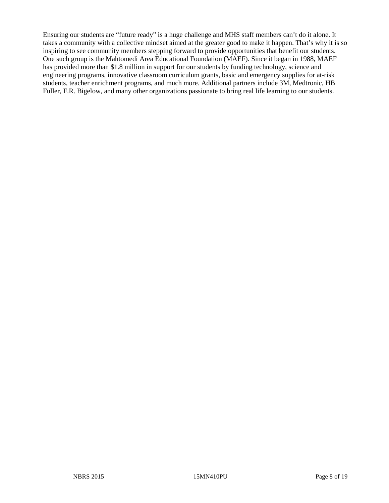Ensuring our students are "future ready" is a huge challenge and MHS staff members can't do it alone. It takes a community with a collective mindset aimed at the greater good to make it happen. That's why it is so inspiring to see community members stepping forward to provide opportunities that benefit our students. One such group is the Mahtomedi Area Educational Foundation (MAEF). Since it began in 1988, MAEF has provided more than \$1.8 million in support for our students by funding technology, science and engineering programs, innovative classroom curriculum grants, basic and emergency supplies for at-risk students, teacher enrichment programs, and much more. Additional partners include 3M, Medtronic, HB Fuller, F.R. Bigelow, and many other organizations passionate to bring real life learning to our students.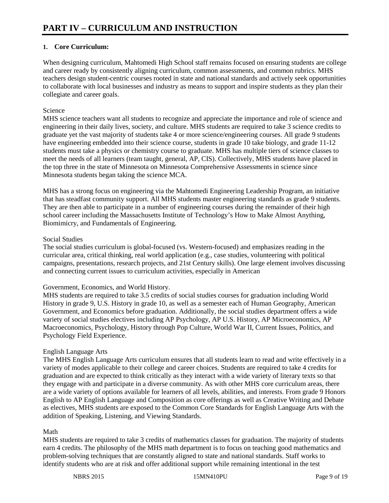#### **1. Core Curriculum:**

When designing curriculum, Mahtomedi High School staff remains focused on ensuring students are college and career ready by consistently aligning curriculum, common assessments, and common rubrics. MHS teachers design student-centric courses rooted in state and national standards and actively seek opportunities to collaborate with local businesses and industry as means to support and inspire students as they plan their collegiate and career goals.

#### Science

MHS science teachers want all students to recognize and appreciate the importance and role of science and engineering in their daily lives, society, and culture. MHS students are required to take 3 science credits to graduate yet the vast majority of students take 4 or more science/engineering courses. All grade 9 students have engineering embedded into their science course, students in grade 10 take biology, and grade 11-12 students must take a physics or chemistry course to graduate. MHS has multiple tiers of science classes to meet the needs of all learners (team taught, general, AP, CIS). Collectively, MHS students have placed in the top three in the state of Minnesota on Minnesota Comprehensive Assessments in science since Minnesota students began taking the science MCA.

MHS has a strong focus on engineering via the Mahtomedi Engineering Leadership Program, an initiative that has steadfast community support. All MHS students master engineering standards as grade 9 students. They are then able to participate in a number of engineering courses during the remainder of their high school career including the Massachusetts Institute of Technology's How to Make Almost Anything, Biomimicry, and Fundamentals of Engineering.

#### Social Studies

The social studies curriculum is global-focused (vs. Western-focused) and emphasizes reading in the curricular area, critical thinking, real world application (e.g., case studies, volunteering with political campaigns, presentations, research projects, and 21st Century skills). One large element involves discussing and connecting current issues to curriculum activities, especially in American

#### Government, Economics, and World History.

MHS students are required to take 3.5 credits of social studies courses for graduation including World History in grade 9, U.S. History in grade 10, as well as a semester each of Human Geography, American Government, and Economics before graduation. Additionally, the social studies department offers a wide variety of social studies electives including AP Psychology, AP U.S. History, AP Microeconomics, AP Macroeconomics, Psychology, History through Pop Culture, World War II, Current Issues, Politics, and Psychology Field Experience.

#### English Language Arts

The MHS English Language Arts curriculum ensures that all students learn to read and write effectively in a variety of modes applicable to their college and career choices. Students are required to take 4 credits for graduation and are expected to think critically as they interact with a wide variety of literary texts so that they engage with and participate in a diverse community. As with other MHS core curriculum areas, there are a wide variety of options available for learners of all levels, abilities, and interests. From grade 9 Honors English to AP English Language and Composition as core offerings as well as Creative Writing and Debate as electives, MHS students are exposed to the Common Core Standards for English Language Arts with the addition of Speaking, Listening, and Viewing Standards.

#### Math

MHS students are required to take 3 credits of mathematics classes for graduation. The majority of students earn 4 credits. The philosophy of the MHS math department is to focus on teaching good mathematics and problem-solving techniques that are constantly aligned to state and national standards. Staff works to identify students who are at risk and offer additional support while remaining intentional in the test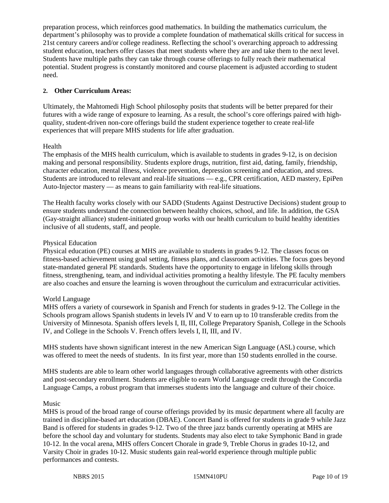preparation process, which reinforces good mathematics. In building the mathematics curriculum, the department's philosophy was to provide a complete foundation of mathematical skills critical for success in 21st century careers and/or college readiness. Reflecting the school's overarching approach to addressing student education, teachers offer classes that meet students where they are and take them to the next level. Students have multiple paths they can take through course offerings to fully reach their mathematical potential. Student progress is constantly monitored and course placement is adjusted according to student need.

#### **2. Other Curriculum Areas:**

Ultimately, the Mahtomedi High School philosophy posits that students will be better prepared for their futures with a wide range of exposure to learning. As a result, the school's core offerings paired with highquality, student-driven non-core offerings build the student experience together to create real-life experiences that will prepare MHS students for life after graduation.

#### Health

The emphasis of the MHS health curriculum, which is available to students in grades 9-12, is on decision making and personal responsibility. Students explore drugs, nutrition, first aid, dating, family, friendship, character education, mental illness, violence prevention, depression screening and education, and stress. Students are introduced to relevant and real-life situations — e.g., CPR certification, AED mastery, EpiPen Auto-Injector mastery — as means to gain familiarity with real-life situations.

The Health faculty works closely with our SADD (Students Against Destructive Decisions) student group to ensure students understand the connection between healthy choices, school, and life. In addition, the GSA (Gay-straight alliance) student-initiated group works with our health curriculum to build healthy identities inclusive of all students, staff, and people.

#### Physical Education

Physical education (PE) courses at MHS are available to students in grades 9-12. The classes focus on fitness-based achievement using goal setting, fitness plans, and classroom activities. The focus goes beyond state-mandated general PE standards. Students have the opportunity to engage in lifelong skills through fitness, strengthening, team, and individual activities promoting a healthy lifestyle. The PE faculty members are also coaches and ensure the learning is woven throughout the curriculum and extracurricular activities.

#### World Language

MHS offers a variety of coursework in Spanish and French for students in grades 9-12. The College in the Schools program allows Spanish students in levels IV and V to earn up to 10 transferable credits from the University of Minnesota. Spanish offers levels I, II, III, College Preparatory Spanish, College in the Schools IV, and College in the Schools V. French offers levels I, II, III, and IV.

MHS students have shown significant interest in the new American Sign Language (ASL) course, which was offered to meet the needs of students. In its first year, more than 150 students enrolled in the course.

MHS students are able to learn other world languages through collaborative agreements with other districts and post-secondary enrollment. Students are eligible to earn World Language credit through the Concordia Language Camps, a robust program that immerses students into the language and culture of their choice.

#### Music

MHS is proud of the broad range of course offerings provided by its music department where all faculty are trained in discipline-based art education (DBAE). Concert Band is offered for students in grade 9 while Jazz Band is offered for students in grades 9-12. Two of the three jazz bands currently operating at MHS are before the school day and voluntary for students. Students may also elect to take Symphonic Band in grade 10-12. In the vocal arena, MHS offers Concert Chorale in grade 9, Treble Chorus in grades 10-12, and Varsity Choir in grades 10-12. Music students gain real-world experience through multiple public performances and contests.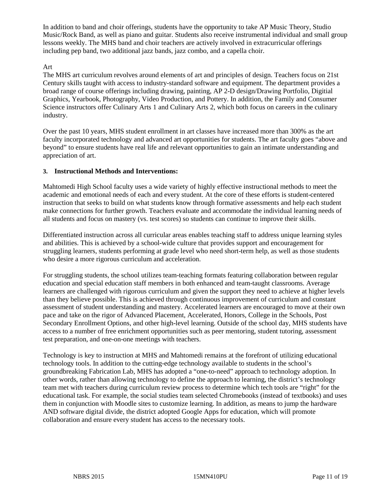In addition to band and choir offerings, students have the opportunity to take AP Music Theory, Studio Music/Rock Band, as well as piano and guitar. Students also receive instrumental individual and small group lessons weekly. The MHS band and choir teachers are actively involved in extracurricular offerings including pep band, two additional jazz bands, jazz combo, and a capella choir.

#### Art

The MHS art curriculum revolves around elements of art and principles of design. Teachers focus on 21st Century skills taught with access to industry-standard software and equipment. The department provides a broad range of course offerings including drawing, painting, AP 2-D design/Drawing Portfolio, Digitial Graphics, Yearbook, Photography, Video Production, and Pottery. In addition, the Family and Consumer Science instructors offer Culinary Arts 1 and Culinary Arts 2, which both focus on careers in the culinary industry.

Over the past 10 years, MHS student enrollment in art classes have increased more than 300% as the art faculty incorporated technology and advanced art opportunities for students. The art faculty goes "above and beyond" to ensure students have real life and relevant opportunities to gain an intimate understanding and appreciation of art.

#### **3. Instructional Methods and Interventions:**

Mahtomedi High School faculty uses a wide variety of highly effective instructional methods to meet the academic and emotional needs of each and every student. At the core of these efforts is student-centered instruction that seeks to build on what students know through formative assessments and help each student make connections for further growth. Teachers evaluate and accommodate the individual learning needs of all students and focus on mastery (vs. test scores) so students can continue to improve their skills.

Differentiated instruction across all curricular areas enables teaching staff to address unique learning styles and abilities. This is achieved by a school-wide culture that provides support and encouragement for struggling learners, students performing at grade level who need short-term help, as well as those students who desire a more rigorous curriculum and acceleration.

For struggling students, the school utilizes team-teaching formats featuring collaboration between regular education and special education staff members in both enhanced and team-taught classrooms. Average learners are challenged with rigorous curriculum and given the support they need to achieve at higher levels than they believe possible. This is achieved through continuous improvement of curriculum and constant assessment of student understanding and mastery. Accelerated learners are encouraged to move at their own pace and take on the rigor of Advanced Placement, Accelerated, Honors, College in the Schools, Post Secondary Enrollment Options, and other high-level learning. Outside of the school day, MHS students have access to a number of free enrichment opportunities such as peer mentoring, student tutoring, assessment test preparation, and one-on-one meetings with teachers.

Technology is key to instruction at MHS and Mahtomedi remains at the forefront of utilizing educational technology tools. In addition to the cutting-edge technology available to students in the school's groundbreaking Fabrication Lab, MHS has adopted a "one-to-need" approach to technology adoption. In other words, rather than allowing technology to define the approach to learning, the district's technology team met with teachers during curriculum review process to determine which tech tools are "right" for the educational task. For example, the social studies team selected Chromebooks (instead of textbooks) and uses them in conjunction with Moodle sites to customize learning. In addition, as means to jump the hardware AND software digital divide, the district adopted Google Apps for education, which will promote collaboration and ensure every student has access to the necessary tools.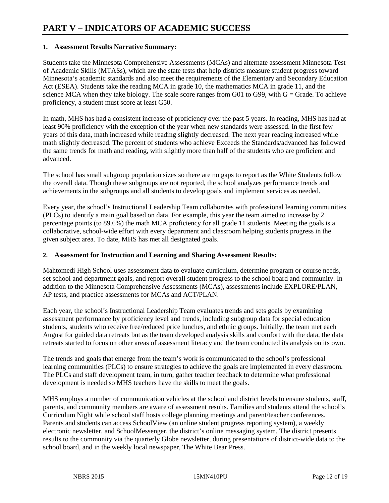#### **1. Assessment Results Narrative Summary:**

Students take the Minnesota Comprehensive Assessments (MCAs) and alternate assessment Minnesota Test of Academic Skills (MTASs), which are the state tests that help districts measure student progress toward Minnesota's academic standards and also meet the requirements of the Elementary and Secondary Education Act (ESEA). Students take the reading MCA in grade 10, the mathematics MCA in grade 11, and the science MCA when they take biology. The scale score ranges from G01 to G99, with  $G =$  Grade. To achieve proficiency, a student must score at least G50.

In math, MHS has had a consistent increase of proficiency over the past 5 years. In reading, MHS has had at least 90% proficiency with the exception of the year when new standards were assessed. In the first few years of this data, math increased while reading slightly decreased. The next year reading increased while math slightly decreased. The percent of students who achieve Exceeds the Standards/advanced has followed the same trends for math and reading, with slightly more than half of the students who are proficient and advanced.

The school has small subgroup population sizes so there are no gaps to report as the White Students follow the overall data. Though these subgroups are not reported, the school analyzes performance trends and achievements in the subgroups and all students to develop goals and implement services as needed.

Every year, the school's Instructional Leadership Team collaborates with professional learning communities (PLCs) to identify a main goal based on data. For example, this year the team aimed to increase by 2 percentage points (to 89.6%) the math MCA proficiency for all grade 11 students. Meeting the goals is a collaborative, school-wide effort with every department and classroom helping students progress in the given subject area. To date, MHS has met all designated goals.

#### **2. Assessment for Instruction and Learning and Sharing Assessment Results:**

Mahtomedi High School uses assessment data to evaluate curriculum, determine program or course needs, set school and department goals, and report overall student progress to the school board and community. In addition to the Minnesota Comprehensive Assessments (MCAs), assessments include EXPLORE/PLAN, AP tests, and practice assessments for MCAs and ACT/PLAN.

Each year, the school's Instructional Leadership Team evaluates trends and sets goals by examining assessment performance by proficiency level and trends, including subgroup data for special education students, students who receive free/reduced price lunches, and ethnic groups. Initially, the team met each August for guided data retreats but as the team developed analysis skills and comfort with the data, the data retreats started to focus on other areas of assessment literacy and the team conducted its analysis on its own.

The trends and goals that emerge from the team's work is communicated to the school's professional learning communities (PLCs) to ensure strategies to achieve the goals are implemented in every classroom. The PLCs and staff development team, in turn, gather teacher feedback to determine what professional development is needed so MHS teachers have the skills to meet the goals.

MHS employs a number of communication vehicles at the school and district levels to ensure students, staff, parents, and community members are aware of assessment results. Families and students attend the school's Curriculum Night while school staff hosts college planning meetings and parent/teacher conferences. Parents and students can access SchoolView (an online student progress reporting system), a weekly electronic newsletter, and SchoolMessenger, the district's online messaging system. The district presents results to the community via the quarterly Globe newsletter, during presentations of district-wide data to the school board, and in the weekly local newspaper, The White Bear Press.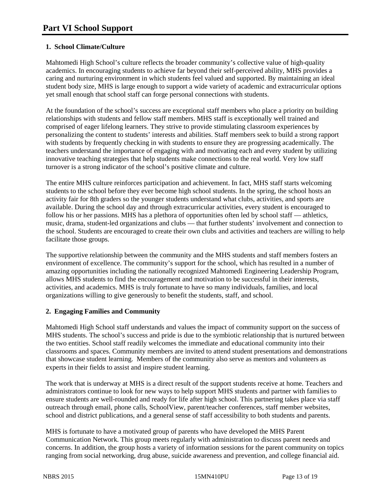#### **1. School Climate/Culture**

Mahtomedi High School's culture reflects the broader community's collective value of high-quality academics. In encouraging students to achieve far beyond their self-perceived ability, MHS provides a caring and nurturing environment in which students feel valued and supported. By maintaining an ideal student body size, MHS is large enough to support a wide variety of academic and extracurricular options yet small enough that school staff can forge personal connections with students.

At the foundation of the school's success are exceptional staff members who place a priority on building relationships with students and fellow staff members. MHS staff is exceptionally well trained and comprised of eager lifelong learners. They strive to provide stimulating classroom experiences by personalizing the content to students' interests and abilities. Staff members seek to build a strong rapport with students by frequently checking in with students to ensure they are progressing academically. The teachers understand the importance of engaging with and motivating each and every student by utilizing innovative teaching strategies that help students make connections to the real world. Very low staff turnover is a strong indicator of the school's positive climate and culture.

The entire MHS culture reinforces participation and achievement. In fact, MHS staff starts welcoming students to the school before they ever become high school students. In the spring, the school hosts an activity fair for 8th graders so the younger students understand what clubs, activities, and sports are available. During the school day and through extracurricular activities, every student is encouraged to follow his or her passions. MHS has a plethora of opportunities often led by school staff — athletics, music, drama, student-led organizations and clubs — that further students' involvement and connection to the school. Students are encouraged to create their own clubs and activities and teachers are willing to help facilitate those groups.

The supportive relationship between the community and the MHS students and staff members fosters an environment of excellence. The community's support for the school, which has resulted in a number of amazing opportunities including the nationally recognized Mahtomedi Engineering Leadership Program, allows MHS students to find the encouragement and motivation to be successful in their interests, activities, and academics. MHS is truly fortunate to have so many individuals, families, and local organizations willing to give generously to benefit the students, staff, and school.

#### **2. Engaging Families and Community**

Mahtomedi High School staff understands and values the impact of community support on the success of MHS students. The school's success and pride is due to the symbiotic relationship that is nurtured between the two entities. School staff readily welcomes the immediate and educational community into their classrooms and spaces. Community members are invited to attend student presentations and demonstrations that showcase student learning. Members of the community also serve as mentors and volunteers as experts in their fields to assist and inspire student learning.

The work that is underway at MHS is a direct result of the support students receive at home. Teachers and administrators continue to look for new ways to help support MHS students and partner with families to ensure students are well-rounded and ready for life after high school. This partnering takes place via staff outreach through email, phone calls, SchoolView, parent/teacher conferences, staff member websites, school and district publications, and a general sense of staff accessibility to both students and parents.

MHS is fortunate to have a motivated group of parents who have developed the MHS Parent Communication Network. This group meets regularly with administration to discuss parent needs and concerns. In addition, the group hosts a variety of information sessions for the parent community on topics ranging from social networking, drug abuse, suicide awareness and prevention, and college financial aid.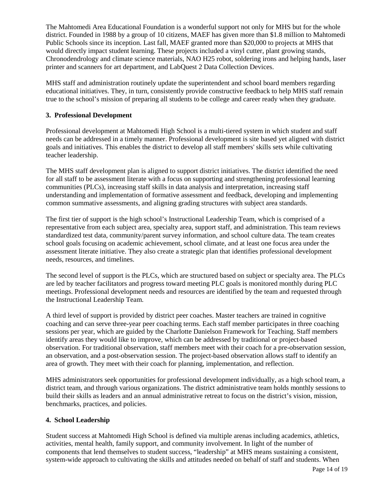The Mahtomedi Area Educational Foundation is a wonderful support not only for MHS but for the whole district. Founded in 1988 by a group of 10 citizens, MAEF has given more than \$1.8 million to Mahtomedi Public Schools since its inception. Last fall, MAEF granted more than \$20,000 to projects at MHS that would directly impact student learning. These projects included a vinyl cutter, plant growing stands, Chronodendrology and climate science materials, NAO H25 robot, soldering irons and helping hands, laser printer and scanners for art department, and LabQuest 2 Data Collection Devices.

MHS staff and administration routinely update the superintendent and school board members regarding educational initiatives. They, in turn, consistently provide constructive feedback to help MHS staff remain true to the school's mission of preparing all students to be college and career ready when they graduate.

#### **3. Professional Development**

Professional development at Mahtomedi High School is a multi-tiered system in which student and staff needs can be addressed in a timely manner. Professional development is site based yet aligned with district goals and initiatives. This enables the district to develop all staff members' skills sets while cultivating teacher leadership.

The MHS staff development plan is aligned to support district initiatives. The district identified the need for all staff to be assessment literate with a focus on supporting and strengthening professional learning communities (PLCs), increasing staff skills in data analysis and interpretation, increasing staff understanding and implementation of formative assessment and feedback, developing and implementing common summative assessments, and aligning grading structures with subject area standards.

The first tier of support is the high school's Instructional Leadership Team, which is comprised of a representative from each subject area, specialty area, support staff, and administration. This team reviews standardized test data, community/parent survey information, and school culture data. The team creates school goals focusing on academic achievement, school climate, and at least one focus area under the assessment literate initiative. They also create a strategic plan that identifies professional development needs, resources, and timelines.

The second level of support is the PLCs, which are structured based on subject or specialty area. The PLCs are led by teacher facilitators and progress toward meeting PLC goals is monitored monthly during PLC meetings. Professional development needs and resources are identified by the team and requested through the Instructional Leadership Team.

A third level of support is provided by district peer coaches. Master teachers are trained in cognitive coaching and can serve three-year peer coaching terms. Each staff member participates in three coaching sessions per year, which are guided by the Charlotte Danielson Framework for Teaching. Staff members identify areas they would like to improve, which can be addressed by traditional or project-based observation. For traditional observation, staff members meet with their coach for a pre-observation session, an observation, and a post-observation session. The project-based observation allows staff to identify an area of growth. They meet with their coach for planning, implementation, and reflection.

MHS administrators seek opportunities for professional development individually, as a high school team, a district team, and through various organizations. The district administrative team holds monthly sessions to build their skills as leaders and an annual administrative retreat to focus on the district's vision, mission, benchmarks, practices, and policies.

#### **4. School Leadership**

Student success at Mahtomedi High School is defined via multiple arenas including academics, athletics, activities, mental health, family support, and community involvement. In light of the number of components that lend themselves to student success, "leadership" at MHS means sustaining a consistent, system-wide approach to cultivating the skills and attitudes needed on behalf of staff and students. When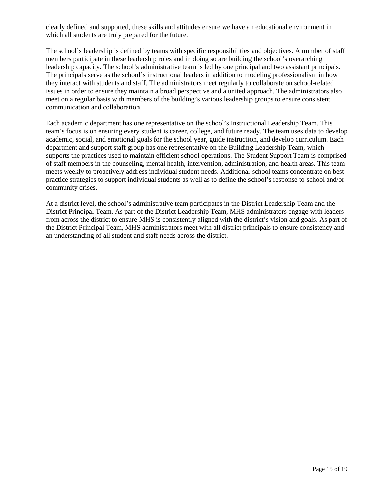clearly defined and supported, these skills and attitudes ensure we have an educational environment in which all students are truly prepared for the future.

The school's leadership is defined by teams with specific responsibilities and objectives. A number of staff members participate in these leadership roles and in doing so are building the school's overarching leadership capacity. The school's administrative team is led by one principal and two assistant principals. The principals serve as the school's instructional leaders in addition to modeling professionalism in how they interact with students and staff. The administrators meet regularly to collaborate on school-related issues in order to ensure they maintain a broad perspective and a united approach. The administrators also meet on a regular basis with members of the building's various leadership groups to ensure consistent communication and collaboration.

Each academic department has one representative on the school's Instructional Leadership Team. This team's focus is on ensuring every student is career, college, and future ready. The team uses data to develop academic, social, and emotional goals for the school year, guide instruction, and develop curriculum. Each department and support staff group has one representative on the Building Leadership Team, which supports the practices used to maintain efficient school operations. The Student Support Team is comprised of staff members in the counseling, mental health, intervention, administration, and health areas. This team meets weekly to proactively address individual student needs. Additional school teams concentrate on best practice strategies to support individual students as well as to define the school's response to school and/or community crises.

At a district level, the school's administrative team participates in the District Leadership Team and the District Principal Team. As part of the District Leadership Team, MHS administrators engage with leaders from across the district to ensure MHS is consistently aligned with the district's vision and goals. As part of the District Principal Team, MHS administrators meet with all district principals to ensure consistency and an understanding of all student and staff needs across the district.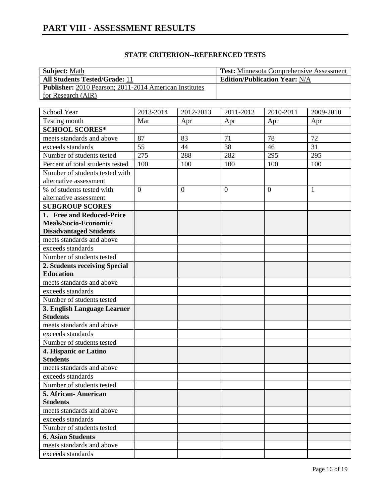| <b>Subject: Math</b>                                   | <b>Test:</b> Minnesota Comprehensive Assessment |
|--------------------------------------------------------|-------------------------------------------------|
| <b>All Students Tested/Grade: 11</b>                   | <b>Edition/Publication Year: N/A</b>            |
| Publisher: 2010 Pearson; 2011-2014 American Institutes |                                                 |
| for Research (AIR)                                     |                                                 |
|                                                        |                                                 |

| School Year                              | 2013-2014      | 2012-2013      | 2011-2012      | 2010-2011      | 2009-2010    |
|------------------------------------------|----------------|----------------|----------------|----------------|--------------|
| Testing month                            | Mar            | Apr            | Apr            | Apr            | Apr          |
| <b>SCHOOL SCORES*</b>                    |                |                |                |                |              |
| meets standards and above                | 87             | 83             | 71             | 78             | 72           |
| exceeds standards                        | 55             | 44             | 38             | 46             | 31           |
| Number of students tested                | 275            | 288            | 282            | 295            | 295          |
| Percent of total students tested         | 100            | 100            | 100            | 100            | 100          |
| Number of students tested with           |                |                |                |                |              |
| alternative assessment                   |                |                |                |                |              |
| % of students tested with                | $\overline{0}$ | $\overline{0}$ | $\overline{0}$ | $\overline{0}$ | $\mathbf{1}$ |
| alternative assessment                   |                |                |                |                |              |
| <b>SUBGROUP SCORES</b>                   |                |                |                |                |              |
| 1. Free and Reduced-Price                |                |                |                |                |              |
| Meals/Socio-Economic/                    |                |                |                |                |              |
| <b>Disadvantaged Students</b>            |                |                |                |                |              |
| meets standards and above                |                |                |                |                |              |
| exceeds standards                        |                |                |                |                |              |
| Number of students tested                |                |                |                |                |              |
| 2. Students receiving Special            |                |                |                |                |              |
| <b>Education</b>                         |                |                |                |                |              |
| meets standards and above                |                |                |                |                |              |
| exceeds standards                        |                |                |                |                |              |
| Number of students tested                |                |                |                |                |              |
| 3. English Language Learner              |                |                |                |                |              |
| <b>Students</b>                          |                |                |                |                |              |
| meets standards and above                |                |                |                |                |              |
| exceeds standards                        |                |                |                |                |              |
| Number of students tested                |                |                |                |                |              |
| 4. Hispanic or Latino<br><b>Students</b> |                |                |                |                |              |
| meets standards and above                |                |                |                |                |              |
| exceeds standards                        |                |                |                |                |              |
| Number of students tested                |                |                |                |                |              |
| 5. African-American                      |                |                |                |                |              |
| <b>Students</b>                          |                |                |                |                |              |
| meets standards and above                |                |                |                |                |              |
| exceeds standards                        |                |                |                |                |              |
| Number of students tested                |                |                |                |                |              |
| <b>6. Asian Students</b>                 |                |                |                |                |              |
| meets standards and above                |                |                |                |                |              |
| exceeds standards                        |                |                |                |                |              |
|                                          |                |                |                |                |              |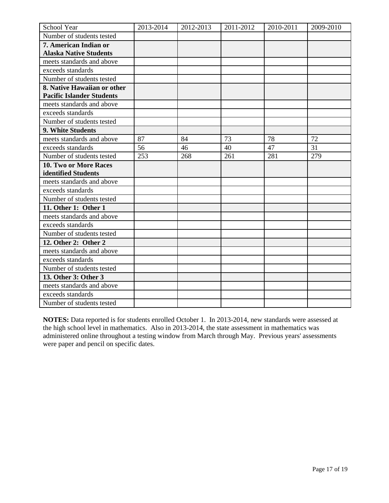| School Year                                                     | 2013-2014 | 2012-2013 | 2011-2012 | 2010-2011 | 2009-2010 |
|-----------------------------------------------------------------|-----------|-----------|-----------|-----------|-----------|
| Number of students tested                                       |           |           |           |           |           |
| 7. American Indian or                                           |           |           |           |           |           |
| <b>Alaska Native Students</b>                                   |           |           |           |           |           |
| meets standards and above                                       |           |           |           |           |           |
| exceeds standards                                               |           |           |           |           |           |
| Number of students tested                                       |           |           |           |           |           |
| 8. Native Hawaiian or other<br><b>Pacific Islander Students</b> |           |           |           |           |           |
| meets standards and above                                       |           |           |           |           |           |
| exceeds standards                                               |           |           |           |           |           |
| Number of students tested                                       |           |           |           |           |           |
| 9. White Students                                               |           |           |           |           |           |
| meets standards and above                                       | 87        | 84        | 73        | 78        | 72        |
| exceeds standards                                               | 56        | 46        | 40        | 47        | 31        |
| Number of students tested                                       | 253       | 268       | 261       | 281       | 279       |
| 10. Two or More Races                                           |           |           |           |           |           |
| identified Students                                             |           |           |           |           |           |
| meets standards and above                                       |           |           |           |           |           |
| exceeds standards                                               |           |           |           |           |           |
| Number of students tested                                       |           |           |           |           |           |
| 11. Other 1: Other 1                                            |           |           |           |           |           |
| meets standards and above                                       |           |           |           |           |           |
| exceeds standards                                               |           |           |           |           |           |
| Number of students tested                                       |           |           |           |           |           |
| 12. Other 2: Other 2                                            |           |           |           |           |           |
| meets standards and above                                       |           |           |           |           |           |
| exceeds standards                                               |           |           |           |           |           |
| Number of students tested                                       |           |           |           |           |           |
| 13. Other 3: Other 3                                            |           |           |           |           |           |
| meets standards and above                                       |           |           |           |           |           |
| exceeds standards                                               |           |           |           |           |           |
| Number of students tested                                       |           |           |           |           |           |

**NOTES:** Data reported is for students enrolled October 1. In 2013-2014, new standards were assessed at the high school level in mathematics. Also in 2013-2014, the state assessment in mathematics was administered online throughout a testing window from March through May. Previous years' assessments were paper and pencil on specific dates.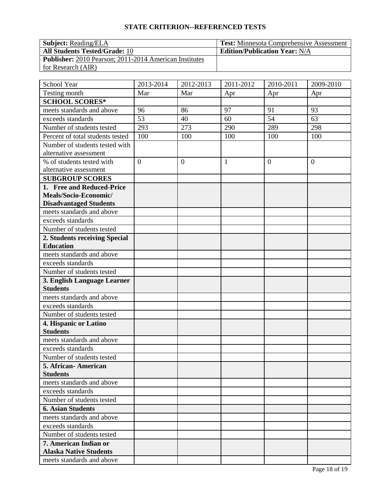#### **STATE CRITERION--REFERENCED TESTS**

#### **Subject:** Reading/ELA **Test:** Minnesota Comprehensive Assessment **All Students Tested/Grade:** 10 **Edition/Publication Year:** N/A **Publisher:** 2010 Pearson; 2011-2014 American Institutes for Research (AIR)

| School Year                                            | 2013-2014      | 2012-2013        | 2011-2012    | 2010-2011        | 2009-2010      |
|--------------------------------------------------------|----------------|------------------|--------------|------------------|----------------|
| Testing month                                          | Mar            | Mar              | Apr          | Apr              | Apr            |
| <b>SCHOOL SCORES*</b>                                  |                |                  |              |                  |                |
| meets standards and above                              | 96             | 86               | 97           | 91               | 93             |
| exceeds standards                                      | 53             | 40               | 60           | 54               | 63             |
| Number of students tested                              | 293            | 273              | 290          | 289              | 298            |
| Percent of total students tested                       | 100            | 100              | 100          | 100              | 100            |
| Number of students tested with                         |                |                  |              |                  |                |
| alternative assessment                                 |                |                  |              |                  |                |
| % of students tested with                              | $\overline{0}$ | $\boldsymbol{0}$ | $\mathbf{1}$ | $\boldsymbol{0}$ | $\overline{0}$ |
| alternative assessment                                 |                |                  |              |                  |                |
| <b>SUBGROUP SCORES</b>                                 |                |                  |              |                  |                |
| 1. Free and Reduced-Price                              |                |                  |              |                  |                |
| Meals/Socio-Economic/                                  |                |                  |              |                  |                |
| <b>Disadvantaged Students</b>                          |                |                  |              |                  |                |
| meets standards and above                              |                |                  |              |                  |                |
| exceeds standards                                      |                |                  |              |                  |                |
| Number of students tested                              |                |                  |              |                  |                |
| 2. Students receiving Special                          |                |                  |              |                  |                |
| <b>Education</b>                                       |                |                  |              |                  |                |
| meets standards and above                              |                |                  |              |                  |                |
| exceeds standards                                      |                |                  |              |                  |                |
| Number of students tested                              |                |                  |              |                  |                |
| 3. English Language Learner                            |                |                  |              |                  |                |
| <b>Students</b>                                        |                |                  |              |                  |                |
| meets standards and above                              |                |                  |              |                  |                |
| exceeds standards                                      |                |                  |              |                  |                |
| Number of students tested                              |                |                  |              |                  |                |
| 4. Hispanic or Latino                                  |                |                  |              |                  |                |
| <b>Students</b>                                        |                |                  |              |                  |                |
| meets standards and above                              |                |                  |              |                  |                |
| exceeds standards                                      |                |                  |              |                  |                |
| Number of students tested                              |                |                  |              |                  |                |
| 5. African-American                                    |                |                  |              |                  |                |
| <b>Students</b>                                        |                |                  |              |                  |                |
| meets standards and above                              |                |                  |              |                  |                |
| exceeds standards                                      |                |                  |              |                  |                |
| Number of students tested                              |                |                  |              |                  |                |
| <b>6. Asian Students</b>                               |                |                  |              |                  |                |
| meets standards and above                              |                |                  |              |                  |                |
| exceeds standards                                      |                |                  |              |                  |                |
| Number of students tested                              |                |                  |              |                  |                |
| 7. American Indian or<br><b>Alaska Native Students</b> |                |                  |              |                  |                |
| meets standards and above                              |                |                  |              |                  |                |